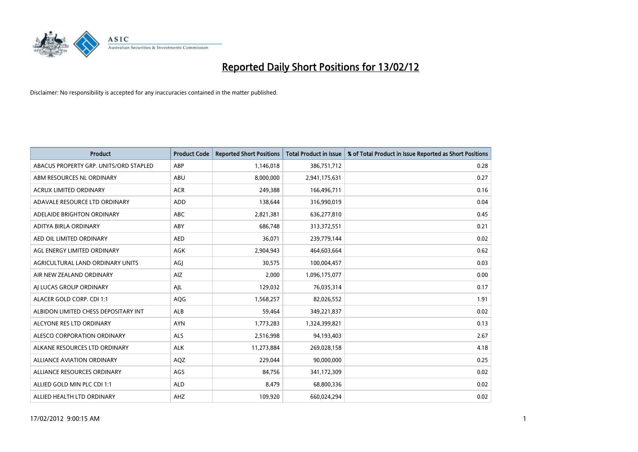

| <b>Product</b>                         | <b>Product Code</b> | <b>Reported Short Positions</b> | <b>Total Product in Issue</b> | % of Total Product in Issue Reported as Short Positions |
|----------------------------------------|---------------------|---------------------------------|-------------------------------|---------------------------------------------------------|
| ABACUS PROPERTY GRP. UNITS/ORD STAPLED | ABP                 | 1,146,018                       | 386,751,712                   | 0.28                                                    |
| ABM RESOURCES NL ORDINARY              | ABU                 | 8,000,000                       | 2,941,175,631                 | 0.27                                                    |
| <b>ACRUX LIMITED ORDINARY</b>          | <b>ACR</b>          | 249,388                         | 166,496,711                   | 0.16                                                    |
| ADAVALE RESOURCE LTD ORDINARY          | <b>ADD</b>          | 138,644                         | 316,990,019                   | 0.04                                                    |
| ADELAIDE BRIGHTON ORDINARY             | <b>ABC</b>          | 2,821,381                       | 636,277,810                   | 0.45                                                    |
| ADITYA BIRLA ORDINARY                  | ABY                 | 686,748                         | 313,372,551                   | 0.21                                                    |
| AED OIL LIMITED ORDINARY               | <b>AED</b>          | 36,071                          | 239,779,144                   | 0.02                                                    |
| AGL ENERGY LIMITED ORDINARY            | AGK                 | 2,904,943                       | 464,603,664                   | 0.62                                                    |
| AGRICULTURAL LAND ORDINARY UNITS       | AGJ                 | 30,575                          | 100,004,457                   | 0.03                                                    |
| AIR NEW ZEALAND ORDINARY               | <b>AIZ</b>          | 2,000                           | 1,096,175,077                 | 0.00                                                    |
| AI LUCAS GROUP ORDINARY                | AJL                 | 129,032                         | 76,035,314                    | 0.17                                                    |
| ALACER GOLD CORP. CDI 1:1              | AQG                 | 1,568,257                       | 82,026,552                    | 1.91                                                    |
| ALBIDON LIMITED CHESS DEPOSITARY INT   | ALB                 | 59,464                          | 349,221,837                   | 0.02                                                    |
| ALCYONE RES LTD ORDINARY               | <b>AYN</b>          | 1,773,283                       | 1,324,399,821                 | 0.13                                                    |
| ALESCO CORPORATION ORDINARY            | <b>ALS</b>          | 2,516,998                       | 94,193,403                    | 2.67                                                    |
| ALKANE RESOURCES LTD ORDINARY          | <b>ALK</b>          | 11,273,884                      | 269,028,158                   | 4.18                                                    |
| ALLIANCE AVIATION ORDINARY             | AQZ                 | 229,044                         | 90,000,000                    | 0.25                                                    |
| ALLIANCE RESOURCES ORDINARY            | AGS                 | 84,756                          | 341,172,309                   | 0.02                                                    |
| ALLIED GOLD MIN PLC CDI 1:1            | <b>ALD</b>          | 8,479                           | 68,800,336                    | 0.02                                                    |
| ALLIED HEALTH LTD ORDINARY             | AHZ                 | 109,920                         | 660,024,294                   | 0.02                                                    |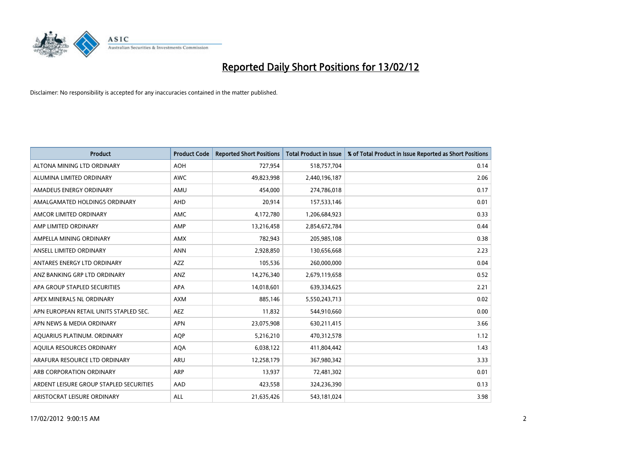

| <b>Product</b>                          | <b>Product Code</b> | <b>Reported Short Positions</b> | <b>Total Product in Issue</b> | % of Total Product in Issue Reported as Short Positions |
|-----------------------------------------|---------------------|---------------------------------|-------------------------------|---------------------------------------------------------|
| ALTONA MINING LTD ORDINARY              | <b>AOH</b>          | 727,954                         | 518,757,704                   | 0.14                                                    |
| ALUMINA LIMITED ORDINARY                | <b>AWC</b>          | 49,823,998                      | 2,440,196,187                 | 2.06                                                    |
| AMADEUS ENERGY ORDINARY                 | AMU                 | 454,000                         | 274,786,018                   | 0.17                                                    |
| AMALGAMATED HOLDINGS ORDINARY           | AHD                 | 20,914                          | 157,533,146                   | 0.01                                                    |
| AMCOR LIMITED ORDINARY                  | AMC                 | 4,172,780                       | 1,206,684,923                 | 0.33                                                    |
| AMP LIMITED ORDINARY                    | AMP                 | 13,216,458                      | 2,854,672,784                 | 0.44                                                    |
| AMPELLA MINING ORDINARY                 | <b>AMX</b>          | 782,943                         | 205,985,108                   | 0.38                                                    |
| ANSELL LIMITED ORDINARY                 | <b>ANN</b>          | 2,928,850                       | 130,656,668                   | 2.23                                                    |
| ANTARES ENERGY LTD ORDINARY             | AZZ                 | 105,536                         | 260,000,000                   | 0.04                                                    |
| ANZ BANKING GRP LTD ORDINARY            | ANZ                 | 14,276,340                      | 2,679,119,658                 | 0.52                                                    |
| APA GROUP STAPLED SECURITIES            | APA                 | 14,018,601                      | 639,334,625                   | 2.21                                                    |
| APEX MINERALS NL ORDINARY               | <b>AXM</b>          | 885,146                         | 5,550,243,713                 | 0.02                                                    |
| APN EUROPEAN RETAIL UNITS STAPLED SEC.  | <b>AEZ</b>          | 11,832                          | 544,910,660                   | 0.00                                                    |
| APN NEWS & MEDIA ORDINARY               | <b>APN</b>          | 23,075,908                      | 630,211,415                   | 3.66                                                    |
| AQUARIUS PLATINUM. ORDINARY             | <b>AOP</b>          | 5,216,210                       | 470,312,578                   | 1.12                                                    |
| AQUILA RESOURCES ORDINARY               | <b>AQA</b>          | 6,038,122                       | 411,804,442                   | 1.43                                                    |
| ARAFURA RESOURCE LTD ORDINARY           | ARU                 | 12,258,179                      | 367,980,342                   | 3.33                                                    |
| ARB CORPORATION ORDINARY                | ARP                 | 13,937                          | 72,481,302                    | 0.01                                                    |
| ARDENT LEISURE GROUP STAPLED SECURITIES | AAD                 | 423,558                         | 324,236,390                   | 0.13                                                    |
| ARISTOCRAT LEISURE ORDINARY             | ALL                 | 21,635,426                      | 543,181,024                   | 3.98                                                    |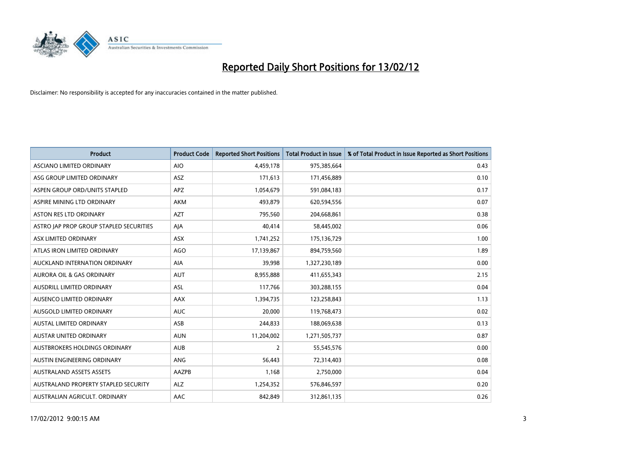

| <b>Product</b>                          | <b>Product Code</b> | <b>Reported Short Positions</b> | <b>Total Product in Issue</b> | % of Total Product in Issue Reported as Short Positions |
|-----------------------------------------|---------------------|---------------------------------|-------------------------------|---------------------------------------------------------|
| ASCIANO LIMITED ORDINARY                | <b>AIO</b>          | 4,459,178                       | 975,385,664                   | 0.43                                                    |
| ASG GROUP LIMITED ORDINARY              | ASZ                 | 171,613                         | 171,456,889                   | 0.10                                                    |
| ASPEN GROUP ORD/UNITS STAPLED           | <b>APZ</b>          | 1,054,679                       | 591,084,183                   | 0.17                                                    |
| ASPIRE MINING LTD ORDINARY              | <b>AKM</b>          | 493,879                         | 620,594,556                   | 0.07                                                    |
| <b>ASTON RES LTD ORDINARY</b>           | <b>AZT</b>          | 795,560                         | 204,668,861                   | 0.38                                                    |
| ASTRO JAP PROP GROUP STAPLED SECURITIES | AJA                 | 40,414                          | 58,445,002                    | 0.06                                                    |
| ASX LIMITED ORDINARY                    | ASX                 | 1,741,252                       | 175,136,729                   | 1.00                                                    |
| ATLAS IRON LIMITED ORDINARY             | <b>AGO</b>          | 17,139,867                      | 894,759,560                   | 1.89                                                    |
| AUCKLAND INTERNATION ORDINARY           | AIA                 | 39,998                          | 1,327,230,189                 | 0.00                                                    |
| <b>AURORA OIL &amp; GAS ORDINARY</b>    | <b>AUT</b>          | 8,955,888                       | 411,655,343                   | 2.15                                                    |
| AUSDRILL LIMITED ORDINARY               | ASL                 | 117,766                         | 303,288,155                   | 0.04                                                    |
| AUSENCO LIMITED ORDINARY                | AAX                 | 1,394,735                       | 123,258,843                   | 1.13                                                    |
| AUSGOLD LIMITED ORDINARY                | <b>AUC</b>          | 20,000                          | 119,768,473                   | 0.02                                                    |
| <b>AUSTAL LIMITED ORDINARY</b>          | ASB                 | 244,833                         | 188,069,638                   | 0.13                                                    |
| AUSTAR UNITED ORDINARY                  | <b>AUN</b>          | 11,204,002                      | 1,271,505,737                 | 0.87                                                    |
| AUSTBROKERS HOLDINGS ORDINARY           | <b>AUB</b>          | 2                               | 55,545,576                    | 0.00                                                    |
| AUSTIN ENGINEERING ORDINARY             | ANG                 | 56,443                          | 72,314,403                    | 0.08                                                    |
| <b>AUSTRALAND ASSETS ASSETS</b>         | AAZPB               | 1,168                           | 2,750,000                     | 0.04                                                    |
| AUSTRALAND PROPERTY STAPLED SECURITY    | <b>ALZ</b>          | 1,254,352                       | 576,846,597                   | 0.20                                                    |
| AUSTRALIAN AGRICULT. ORDINARY           | AAC                 | 842,849                         | 312,861,135                   | 0.26                                                    |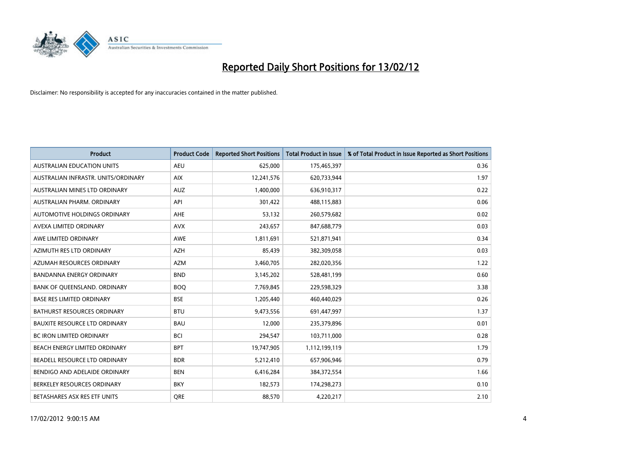

| <b>Product</b>                       | <b>Product Code</b> | <b>Reported Short Positions</b> | <b>Total Product in Issue</b> | % of Total Product in Issue Reported as Short Positions |
|--------------------------------------|---------------------|---------------------------------|-------------------------------|---------------------------------------------------------|
| <b>AUSTRALIAN EDUCATION UNITS</b>    | <b>AEU</b>          | 625,000                         | 175,465,397                   | 0.36                                                    |
| AUSTRALIAN INFRASTR. UNITS/ORDINARY  | <b>AIX</b>          | 12,241,576                      | 620,733,944                   | 1.97                                                    |
| AUSTRALIAN MINES LTD ORDINARY        | <b>AUZ</b>          | 1,400,000                       | 636,910,317                   | 0.22                                                    |
| AUSTRALIAN PHARM, ORDINARY           | API                 | 301,422                         | 488,115,883                   | 0.06                                                    |
| AUTOMOTIVE HOLDINGS ORDINARY         | AHE                 | 53,132                          | 260,579,682                   | 0.02                                                    |
| AVEXA LIMITED ORDINARY               | <b>AVX</b>          | 243,657                         | 847,688,779                   | 0.03                                                    |
| AWE LIMITED ORDINARY                 | AWE                 | 1,811,691                       | 521,871,941                   | 0.34                                                    |
| AZIMUTH RES LTD ORDINARY             | <b>AZH</b>          | 85,439                          | 382,309,058                   | 0.03                                                    |
| AZUMAH RESOURCES ORDINARY            | <b>AZM</b>          | 3,460,705                       | 282,020,356                   | 1.22                                                    |
| <b>BANDANNA ENERGY ORDINARY</b>      | <b>BND</b>          | 3,145,202                       | 528,481,199                   | 0.60                                                    |
| BANK OF QUEENSLAND. ORDINARY         | <b>BOQ</b>          | 7,769,845                       | 229,598,329                   | 3.38                                                    |
| <b>BASE RES LIMITED ORDINARY</b>     | <b>BSE</b>          | 1,205,440                       | 460,440,029                   | 0.26                                                    |
| <b>BATHURST RESOURCES ORDINARY</b>   | <b>BTU</b>          | 9,473,556                       | 691,447,997                   | 1.37                                                    |
| <b>BAUXITE RESOURCE LTD ORDINARY</b> | <b>BAU</b>          | 12,000                          | 235,379,896                   | 0.01                                                    |
| <b>BC IRON LIMITED ORDINARY</b>      | <b>BCI</b>          | 294,547                         | 103,711,000                   | 0.28                                                    |
| BEACH ENERGY LIMITED ORDINARY        | <b>BPT</b>          | 19,747,905                      | 1,112,199,119                 | 1.79                                                    |
| BEADELL RESOURCE LTD ORDINARY        | <b>BDR</b>          | 5,212,410                       | 657,906,946                   | 0.79                                                    |
| BENDIGO AND ADELAIDE ORDINARY        | <b>BEN</b>          | 6,416,284                       | 384, 372, 554                 | 1.66                                                    |
| BERKELEY RESOURCES ORDINARY          | <b>BKY</b>          | 182,573                         | 174,298,273                   | 0.10                                                    |
| BETASHARES ASX RES ETF UNITS         | <b>ORE</b>          | 88,570                          | 4,220,217                     | 2.10                                                    |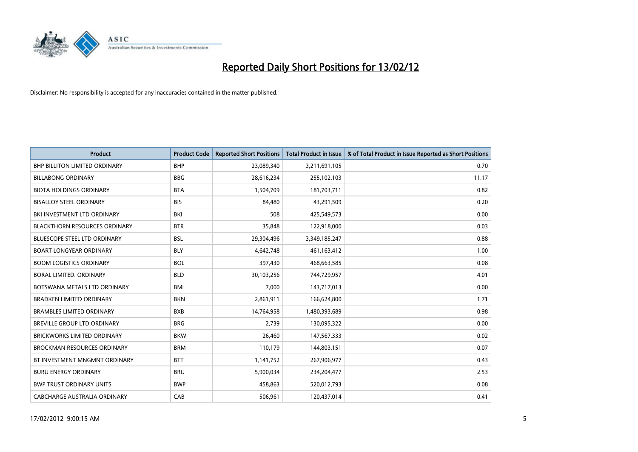

| Product                              | <b>Product Code</b> | <b>Reported Short Positions</b> | <b>Total Product in Issue</b> | % of Total Product in Issue Reported as Short Positions |
|--------------------------------------|---------------------|---------------------------------|-------------------------------|---------------------------------------------------------|
| <b>BHP BILLITON LIMITED ORDINARY</b> | <b>BHP</b>          | 23,089,340                      | 3,211,691,105                 | 0.70                                                    |
| <b>BILLABONG ORDINARY</b>            | <b>BBG</b>          | 28,616,234                      | 255,102,103                   | 11.17                                                   |
| <b>BIOTA HOLDINGS ORDINARY</b>       | <b>BTA</b>          | 1,504,709                       | 181,703,711                   | 0.82                                                    |
| <b>BISALLOY STEEL ORDINARY</b>       | <b>BIS</b>          | 84,480                          | 43,291,509                    | 0.20                                                    |
| BKI INVESTMENT LTD ORDINARY          | BKI                 | 508                             | 425,549,573                   | 0.00                                                    |
| <b>BLACKTHORN RESOURCES ORDINARY</b> | <b>BTR</b>          | 35,848                          | 122,918,000                   | 0.03                                                    |
| <b>BLUESCOPE STEEL LTD ORDINARY</b>  | <b>BSL</b>          | 29,304,496                      | 3,349,185,247                 | 0.88                                                    |
| <b>BOART LONGYEAR ORDINARY</b>       | <b>BLY</b>          | 4,642,748                       | 461,163,412                   | 1.00                                                    |
| <b>BOOM LOGISTICS ORDINARY</b>       | <b>BOL</b>          | 397,430                         | 468,663,585                   | 0.08                                                    |
| <b>BORAL LIMITED, ORDINARY</b>       | <b>BLD</b>          | 30,103,256                      | 744,729,957                   | 4.01                                                    |
| BOTSWANA METALS LTD ORDINARY         | <b>BML</b>          | 7,000                           | 143,717,013                   | 0.00                                                    |
| <b>BRADKEN LIMITED ORDINARY</b>      | <b>BKN</b>          | 2,861,911                       | 166,624,800                   | 1.71                                                    |
| <b>BRAMBLES LIMITED ORDINARY</b>     | <b>BXB</b>          | 14,764,958                      | 1,480,393,689                 | 0.98                                                    |
| <b>BREVILLE GROUP LTD ORDINARY</b>   | <b>BRG</b>          | 2,739                           | 130,095,322                   | 0.00                                                    |
| <b>BRICKWORKS LIMITED ORDINARY</b>   | <b>BKW</b>          | 26,460                          | 147,567,333                   | 0.02                                                    |
| <b>BROCKMAN RESOURCES ORDINARY</b>   | <b>BRM</b>          | 110,179                         | 144,803,151                   | 0.07                                                    |
| BT INVESTMENT MNGMNT ORDINARY        | <b>BTT</b>          | 1,141,752                       | 267,906,977                   | 0.43                                                    |
| <b>BURU ENERGY ORDINARY</b>          | <b>BRU</b>          | 5,900,034                       | 234,204,477                   | 2.53                                                    |
| <b>BWP TRUST ORDINARY UNITS</b>      | <b>BWP</b>          | 458,863                         | 520,012,793                   | 0.08                                                    |
| CABCHARGE AUSTRALIA ORDINARY         | CAB                 | 506,961                         | 120,437,014                   | 0.41                                                    |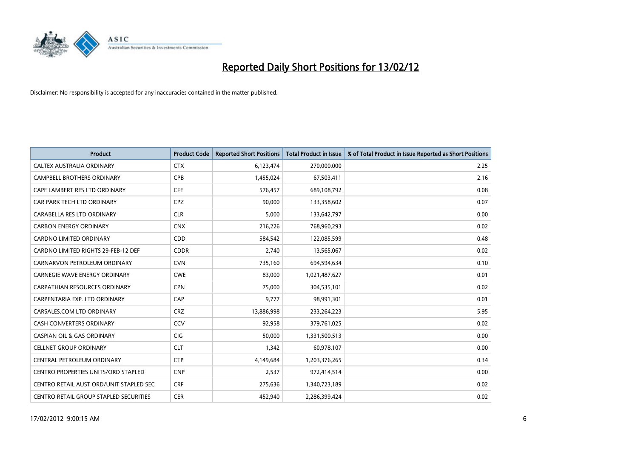

| <b>Product</b>                          | <b>Product Code</b> | <b>Reported Short Positions</b> | <b>Total Product in Issue</b> | % of Total Product in Issue Reported as Short Positions |
|-----------------------------------------|---------------------|---------------------------------|-------------------------------|---------------------------------------------------------|
| CALTEX AUSTRALIA ORDINARY               | <b>CTX</b>          | 6,123,474                       | 270,000,000                   | 2.25                                                    |
| <b>CAMPBELL BROTHERS ORDINARY</b>       | <b>CPB</b>          | 1,455,024                       | 67,503,411                    | 2.16                                                    |
| CAPE LAMBERT RES LTD ORDINARY           | <b>CFE</b>          | 576,457                         | 689,108,792                   | 0.08                                                    |
| CAR PARK TECH LTD ORDINARY              | <b>CPZ</b>          | 90,000                          | 133,358,602                   | 0.07                                                    |
| CARABELLA RES LTD ORDINARY              | <b>CLR</b>          | 5,000                           | 133,642,797                   | 0.00                                                    |
| <b>CARBON ENERGY ORDINARY</b>           | <b>CNX</b>          | 216,226                         | 768,960,293                   | 0.02                                                    |
| <b>CARDNO LIMITED ORDINARY</b>          | CDD                 | 584,542                         | 122,085,599                   | 0.48                                                    |
| CARDNO LIMITED RIGHTS 29-FEB-12 DEF     | <b>CDDR</b>         | 2,740                           | 13,565,067                    | 0.02                                                    |
| CARNARVON PETROLEUM ORDINARY            | <b>CVN</b>          | 735,160                         | 694,594,634                   | 0.10                                                    |
| <b>CARNEGIE WAVE ENERGY ORDINARY</b>    | <b>CWE</b>          | 83,000                          | 1,021,487,627                 | 0.01                                                    |
| CARPATHIAN RESOURCES ORDINARY           | <b>CPN</b>          | 75,000                          | 304,535,101                   | 0.02                                                    |
| CARPENTARIA EXP. LTD ORDINARY           | CAP                 | 9,777                           | 98,991,301                    | 0.01                                                    |
| CARSALES.COM LTD ORDINARY               | <b>CRZ</b>          | 13,886,998                      | 233,264,223                   | 5.95                                                    |
| <b>CASH CONVERTERS ORDINARY</b>         | CCV                 | 92,958                          | 379,761,025                   | 0.02                                                    |
| <b>CASPIAN OIL &amp; GAS ORDINARY</b>   | CIG                 | 50,000                          | 1,331,500,513                 | 0.00                                                    |
| <b>CELLNET GROUP ORDINARY</b>           | <b>CLT</b>          | 1,342                           | 60,978,107                    | 0.00                                                    |
| CENTRAL PETROLEUM ORDINARY              | <b>CTP</b>          | 4,149,684                       | 1,203,376,265                 | 0.34                                                    |
| CENTRO PROPERTIES UNITS/ORD STAPLED     | <b>CNP</b>          | 2,537                           | 972,414,514                   | 0.00                                                    |
| CENTRO RETAIL AUST ORD/UNIT STAPLED SEC | <b>CRF</b>          | 275,636                         | 1,340,723,189                 | 0.02                                                    |
| CENTRO RETAIL GROUP STAPLED SECURITIES  | <b>CER</b>          | 452,940                         | 2,286,399,424                 | 0.02                                                    |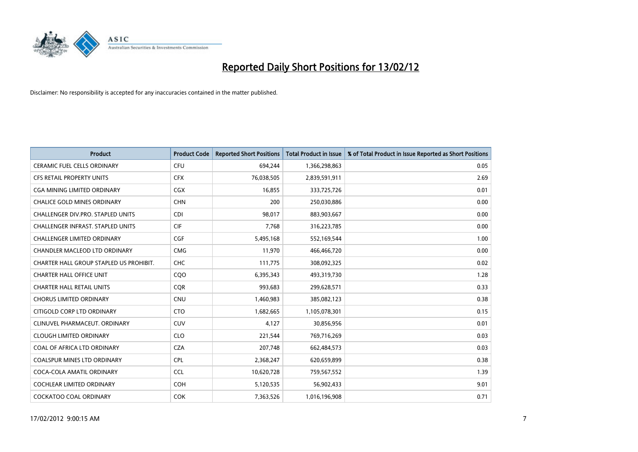

| <b>Product</b>                           | <b>Product Code</b> | <b>Reported Short Positions</b> | <b>Total Product in Issue</b> | % of Total Product in Issue Reported as Short Positions |
|------------------------------------------|---------------------|---------------------------------|-------------------------------|---------------------------------------------------------|
| <b>CERAMIC FUEL CELLS ORDINARY</b>       | <b>CFU</b>          | 694,244                         | 1,366,298,863                 | 0.05                                                    |
| CFS RETAIL PROPERTY UNITS                | <b>CFX</b>          | 76,038,505                      | 2,839,591,911                 | 2.69                                                    |
| CGA MINING LIMITED ORDINARY              | <b>CGX</b>          | 16,855                          | 333,725,726                   | 0.01                                                    |
| CHALICE GOLD MINES ORDINARY              | <b>CHN</b>          | 200                             | 250,030,886                   | 0.00                                                    |
| CHALLENGER DIV.PRO. STAPLED UNITS        | CDI                 | 98,017                          | 883,903,667                   | 0.00                                                    |
| <b>CHALLENGER INFRAST, STAPLED UNITS</b> | <b>CIF</b>          | 7,768                           | 316,223,785                   | 0.00                                                    |
| <b>CHALLENGER LIMITED ORDINARY</b>       | <b>CGF</b>          | 5,495,168                       | 552,169,544                   | 1.00                                                    |
| CHANDLER MACLEOD LTD ORDINARY            | <b>CMG</b>          | 11,970                          | 466,466,720                   | 0.00                                                    |
| CHARTER HALL GROUP STAPLED US PROHIBIT.  | <b>CHC</b>          | 111,775                         | 308,092,325                   | 0.02                                                    |
| <b>CHARTER HALL OFFICE UNIT</b>          | COO                 | 6,395,343                       | 493,319,730                   | 1.28                                                    |
| <b>CHARTER HALL RETAIL UNITS</b>         | <b>CQR</b>          | 993,683                         | 299,628,571                   | 0.33                                                    |
| <b>CHORUS LIMITED ORDINARY</b>           | <b>CNU</b>          | 1,460,983                       | 385,082,123                   | 0.38                                                    |
| CITIGOLD CORP LTD ORDINARY               | <b>CTO</b>          | 1,682,665                       | 1,105,078,301                 | 0.15                                                    |
| CLINUVEL PHARMACEUT, ORDINARY            | <b>CUV</b>          | 4,127                           | 30,856,956                    | 0.01                                                    |
| <b>CLOUGH LIMITED ORDINARY</b>           | <b>CLO</b>          | 221,544                         | 769,716,269                   | 0.03                                                    |
| COAL OF AFRICA LTD ORDINARY              | <b>CZA</b>          | 207,748                         | 662,484,573                   | 0.03                                                    |
| COALSPUR MINES LTD ORDINARY              | <b>CPL</b>          | 2,368,247                       | 620,659,899                   | 0.38                                                    |
| COCA-COLA AMATIL ORDINARY                | <b>CCL</b>          | 10,620,728                      | 759,567,552                   | 1.39                                                    |
| <b>COCHLEAR LIMITED ORDINARY</b>         | <b>COH</b>          | 5,120,535                       | 56,902,433                    | 9.01                                                    |
| COCKATOO COAL ORDINARY                   | <b>COK</b>          | 7,363,526                       | 1,016,196,908                 | 0.71                                                    |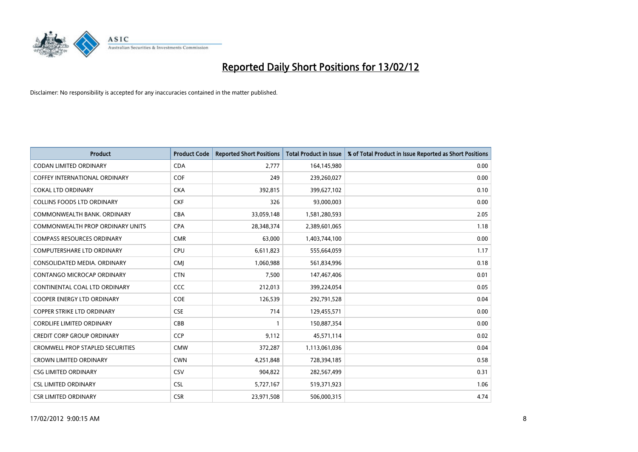

| <b>Product</b>                          | <b>Product Code</b> | <b>Reported Short Positions</b> | <b>Total Product in Issue</b> | % of Total Product in Issue Reported as Short Positions |
|-----------------------------------------|---------------------|---------------------------------|-------------------------------|---------------------------------------------------------|
| <b>CODAN LIMITED ORDINARY</b>           | <b>CDA</b>          | 2,777                           | 164,145,980                   | 0.00                                                    |
| COFFEY INTERNATIONAL ORDINARY           | <b>COF</b>          | 249                             | 239,260,027                   | 0.00                                                    |
| <b>COKAL LTD ORDINARY</b>               | <b>CKA</b>          | 392,815                         | 399,627,102                   | 0.10                                                    |
| COLLINS FOODS LTD ORDINARY              | <b>CKF</b>          | 326                             | 93,000,003                    | 0.00                                                    |
| COMMONWEALTH BANK, ORDINARY             | <b>CBA</b>          | 33,059,148                      | 1,581,280,593                 | 2.05                                                    |
| <b>COMMONWEALTH PROP ORDINARY UNITS</b> | <b>CPA</b>          | 28,348,374                      | 2,389,601,065                 | 1.18                                                    |
| <b>COMPASS RESOURCES ORDINARY</b>       | <b>CMR</b>          | 63,000                          | 1,403,744,100                 | 0.00                                                    |
| COMPUTERSHARE LTD ORDINARY              | <b>CPU</b>          | 6,611,823                       | 555,664,059                   | 1.17                                                    |
| CONSOLIDATED MEDIA, ORDINARY            | <b>CMI</b>          | 1,060,988                       | 561,834,996                   | 0.18                                                    |
| CONTANGO MICROCAP ORDINARY              | <b>CTN</b>          | 7,500                           | 147,467,406                   | 0.01                                                    |
| CONTINENTAL COAL LTD ORDINARY           | <b>CCC</b>          | 212,013                         | 399,224,054                   | 0.05                                                    |
| <b>COOPER ENERGY LTD ORDINARY</b>       | <b>COE</b>          | 126,539                         | 292,791,528                   | 0.04                                                    |
| <b>COPPER STRIKE LTD ORDINARY</b>       | <b>CSE</b>          | 714                             | 129,455,571                   | 0.00                                                    |
| <b>CORDLIFE LIMITED ORDINARY</b>        | CBB                 | $\mathbf{1}$                    | 150,887,354                   | 0.00                                                    |
| <b>CREDIT CORP GROUP ORDINARY</b>       | CCP                 | 9,112                           | 45,571,114                    | 0.02                                                    |
| <b>CROMWELL PROP STAPLED SECURITIES</b> | <b>CMW</b>          | 372,287                         | 1,113,061,036                 | 0.04                                                    |
| <b>CROWN LIMITED ORDINARY</b>           | <b>CWN</b>          | 4,251,848                       | 728,394,185                   | 0.58                                                    |
| <b>CSG LIMITED ORDINARY</b>             | CSV                 | 904,822                         | 282,567,499                   | 0.31                                                    |
| <b>CSL LIMITED ORDINARY</b>             | <b>CSL</b>          | 5,727,167                       | 519,371,923                   | 1.06                                                    |
| <b>CSR LIMITED ORDINARY</b>             | <b>CSR</b>          | 23,971,508                      | 506,000,315                   | 4.74                                                    |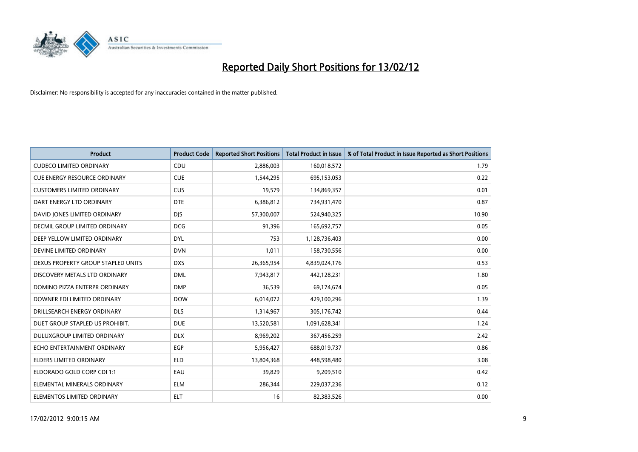

| <b>Product</b>                     | <b>Product Code</b> | <b>Reported Short Positions</b> | <b>Total Product in Issue</b> | % of Total Product in Issue Reported as Short Positions |
|------------------------------------|---------------------|---------------------------------|-------------------------------|---------------------------------------------------------|
| <b>CUDECO LIMITED ORDINARY</b>     | CDU                 | 2,886,003                       | 160,018,572                   | 1.79                                                    |
| CUE ENERGY RESOURCE ORDINARY       | <b>CUE</b>          | 1,544,295                       | 695,153,053                   | 0.22                                                    |
| <b>CUSTOMERS LIMITED ORDINARY</b>  | <b>CUS</b>          | 19,579                          | 134,869,357                   | 0.01                                                    |
| DART ENERGY LTD ORDINARY           | <b>DTE</b>          | 6,386,812                       | 734,931,470                   | 0.87                                                    |
| DAVID JONES LIMITED ORDINARY       | <b>DJS</b>          | 57,300,007                      | 524,940,325                   | 10.90                                                   |
| DECMIL GROUP LIMITED ORDINARY      | <b>DCG</b>          | 91,396                          | 165,692,757                   | 0.05                                                    |
| DEEP YELLOW LIMITED ORDINARY       | DYL                 | 753                             | 1,128,736,403                 | 0.00                                                    |
| DEVINE LIMITED ORDINARY            | <b>DVN</b>          | 1,011                           | 158,730,556                   | 0.00                                                    |
| DEXUS PROPERTY GROUP STAPLED UNITS | <b>DXS</b>          | 26,365,954                      | 4,839,024,176                 | 0.53                                                    |
| DISCOVERY METALS LTD ORDINARY      | <b>DML</b>          | 7,943,817                       | 442,128,231                   | 1.80                                                    |
| DOMINO PIZZA ENTERPR ORDINARY      | <b>DMP</b>          | 36,539                          | 69,174,674                    | 0.05                                                    |
| DOWNER EDI LIMITED ORDINARY        | <b>DOW</b>          | 6,014,072                       | 429,100,296                   | 1.39                                                    |
| DRILLSEARCH ENERGY ORDINARY        | <b>DLS</b>          | 1,314,967                       | 305,176,742                   | 0.44                                                    |
| DUET GROUP STAPLED US PROHIBIT.    | <b>DUE</b>          | 13,520,581                      | 1,091,628,341                 | 1.24                                                    |
| DULUXGROUP LIMITED ORDINARY        | <b>DLX</b>          | 8,969,202                       | 367,456,259                   | 2.42                                                    |
| ECHO ENTERTAINMENT ORDINARY        | EGP                 | 5,956,427                       | 688,019,737                   | 0.86                                                    |
| ELDERS LIMITED ORDINARY            | <b>ELD</b>          | 13,804,368                      | 448,598,480                   | 3.08                                                    |
| ELDORADO GOLD CORP CDI 1:1         | EAU                 | 39,829                          | 9,209,510                     | 0.42                                                    |
| ELEMENTAL MINERALS ORDINARY        | <b>ELM</b>          | 286,344                         | 229,037,236                   | 0.12                                                    |
| ELEMENTOS LIMITED ORDINARY         | ELT                 | 16                              | 82,383,526                    | 0.00                                                    |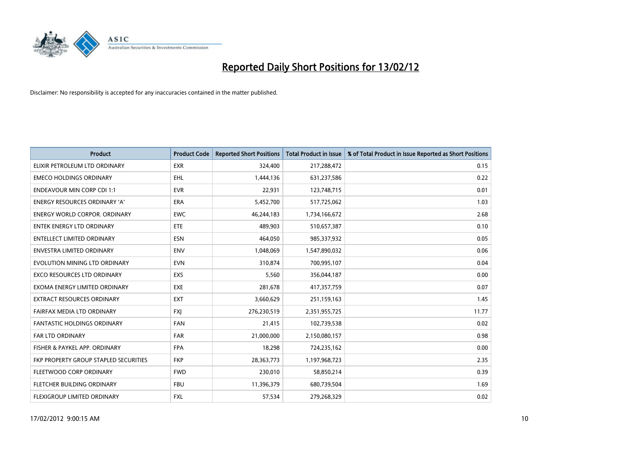

| <b>Product</b>                        | <b>Product Code</b> | <b>Reported Short Positions</b> | <b>Total Product in Issue</b> | % of Total Product in Issue Reported as Short Positions |
|---------------------------------------|---------------------|---------------------------------|-------------------------------|---------------------------------------------------------|
| ELIXIR PETROLEUM LTD ORDINARY         | <b>EXR</b>          | 324,400                         | 217,288,472                   | 0.15                                                    |
| <b>EMECO HOLDINGS ORDINARY</b>        | <b>EHL</b>          | 1,444,136                       | 631,237,586                   | 0.22                                                    |
| <b>ENDEAVOUR MIN CORP CDI 1:1</b>     | <b>EVR</b>          | 22,931                          | 123,748,715                   | 0.01                                                    |
| ENERGY RESOURCES ORDINARY 'A'         | <b>ERA</b>          | 5,452,700                       | 517,725,062                   | 1.03                                                    |
| <b>ENERGY WORLD CORPOR, ORDINARY</b>  | <b>EWC</b>          | 46,244,183                      | 1,734,166,672                 | 2.68                                                    |
| <b>ENTEK ENERGY LTD ORDINARY</b>      | ETE                 | 489,903                         | 510,657,387                   | 0.10                                                    |
| <b>ENTELLECT LIMITED ORDINARY</b>     | <b>ESN</b>          | 464,050                         | 985,337,932                   | 0.05                                                    |
| ENVESTRA LIMITED ORDINARY             | <b>ENV</b>          | 1,048,069                       | 1,547,890,032                 | 0.06                                                    |
| EVOLUTION MINING LTD ORDINARY         | <b>EVN</b>          | 310,874                         | 700,995,107                   | 0.04                                                    |
| <b>EXCO RESOURCES LTD ORDINARY</b>    | <b>EXS</b>          | 5,560                           | 356,044,187                   | 0.00                                                    |
| EXOMA ENERGY LIMITED ORDINARY         | <b>EXE</b>          | 281,678                         | 417,357,759                   | 0.07                                                    |
| <b>EXTRACT RESOURCES ORDINARY</b>     | <b>EXT</b>          | 3,660,629                       | 251,159,163                   | 1.45                                                    |
| FAIRFAX MEDIA LTD ORDINARY            | <b>FXI</b>          | 276,230,519                     | 2,351,955,725                 | 11.77                                                   |
| <b>FANTASTIC HOLDINGS ORDINARY</b>    | <b>FAN</b>          | 21,415                          | 102,739,538                   | 0.02                                                    |
| <b>FAR LTD ORDINARY</b>               | <b>FAR</b>          | 21,000,000                      | 2,150,080,157                 | 0.98                                                    |
| FISHER & PAYKEL APP. ORDINARY         | <b>FPA</b>          | 18,298                          | 724,235,162                   | 0.00                                                    |
| FKP PROPERTY GROUP STAPLED SECURITIES | <b>FKP</b>          | 28,363,773                      | 1,197,968,723                 | 2.35                                                    |
| FLEETWOOD CORP ORDINARY               | <b>FWD</b>          | 230,010                         | 58,850,214                    | 0.39                                                    |
| FLETCHER BUILDING ORDINARY            | <b>FBU</b>          | 11,396,379                      | 680,739,504                   | 1.69                                                    |
| FLEXIGROUP LIMITED ORDINARY           | FXL                 | 57,534                          | 279,268,329                   | 0.02                                                    |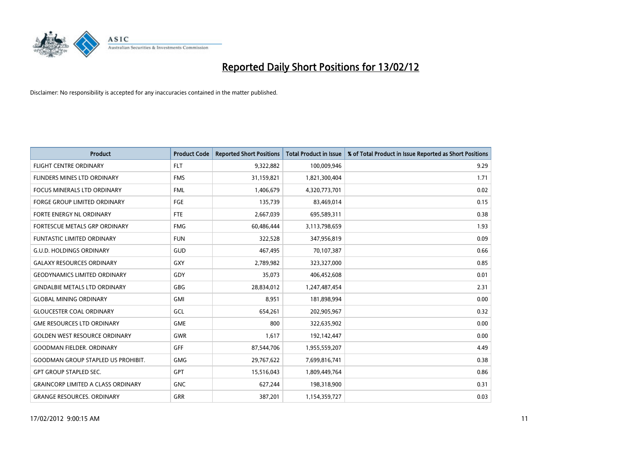

| <b>Product</b>                            | <b>Product Code</b> | <b>Reported Short Positions</b> | <b>Total Product in Issue</b> | % of Total Product in Issue Reported as Short Positions |
|-------------------------------------------|---------------------|---------------------------------|-------------------------------|---------------------------------------------------------|
| <b>FLIGHT CENTRE ORDINARY</b>             | <b>FLT</b>          | 9,322,882                       | 100,009,946                   | 9.29                                                    |
| FLINDERS MINES LTD ORDINARY               | <b>FMS</b>          | 31,159,821                      | 1,821,300,404                 | 1.71                                                    |
| <b>FOCUS MINERALS LTD ORDINARY</b>        | <b>FML</b>          | 1,406,679                       | 4,320,773,701                 | 0.02                                                    |
| FORGE GROUP LIMITED ORDINARY              | FGE                 | 135,739                         | 83,469,014                    | 0.15                                                    |
| FORTE ENERGY NL ORDINARY                  | FTE                 | 2,667,039                       | 695,589,311                   | 0.38                                                    |
| FORTESCUE METALS GRP ORDINARY             | <b>FMG</b>          | 60,486,444                      | 3,113,798,659                 | 1.93                                                    |
| <b>FUNTASTIC LIMITED ORDINARY</b>         | <b>FUN</b>          | 322,528                         | 347,956,819                   | 0.09                                                    |
| <b>G.U.D. HOLDINGS ORDINARY</b>           | GUD                 | 467,495                         | 70,107,387                    | 0.66                                                    |
| <b>GALAXY RESOURCES ORDINARY</b>          | GXY                 | 2,789,982                       | 323,327,000                   | 0.85                                                    |
| <b>GEODYNAMICS LIMITED ORDINARY</b>       | GDY                 | 35,073                          | 406,452,608                   | 0.01                                                    |
| <b>GINDALBIE METALS LTD ORDINARY</b>      | GBG                 | 28,834,012                      | 1,247,487,454                 | 2.31                                                    |
| <b>GLOBAL MINING ORDINARY</b>             | GMI                 | 8,951                           | 181,898,994                   | 0.00                                                    |
| <b>GLOUCESTER COAL ORDINARY</b>           | GCL                 | 654,261                         | 202,905,967                   | 0.32                                                    |
| <b>GME RESOURCES LTD ORDINARY</b>         | <b>GME</b>          | 800                             | 322,635,902                   | 0.00                                                    |
| <b>GOLDEN WEST RESOURCE ORDINARY</b>      | <b>GWR</b>          | 1,617                           | 192,142,447                   | 0.00                                                    |
| <b>GOODMAN FIELDER. ORDINARY</b>          | <b>GFF</b>          | 87,544,706                      | 1,955,559,207                 | 4.49                                                    |
| <b>GOODMAN GROUP STAPLED US PROHIBIT.</b> | GMG                 | 29,767,622                      | 7,699,816,741                 | 0.38                                                    |
| <b>GPT GROUP STAPLED SEC.</b>             | GPT                 | 15,516,043                      | 1,809,449,764                 | 0.86                                                    |
| <b>GRAINCORP LIMITED A CLASS ORDINARY</b> | <b>GNC</b>          | 627,244                         | 198,318,900                   | 0.31                                                    |
| <b>GRANGE RESOURCES. ORDINARY</b>         | GRR                 | 387,201                         | 1,154,359,727                 | 0.03                                                    |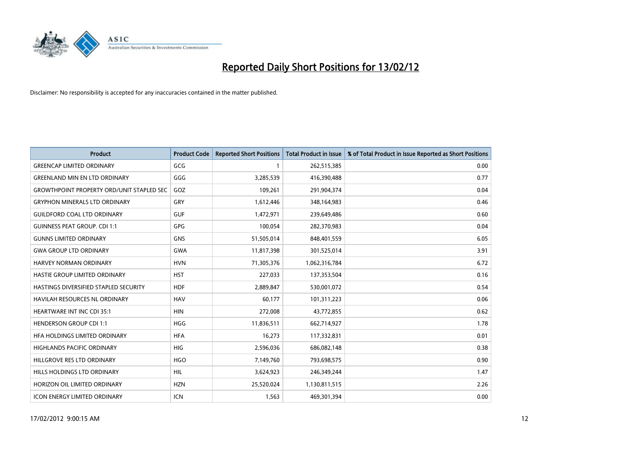

| <b>Product</b>                                   | <b>Product Code</b> | <b>Reported Short Positions</b> | <b>Total Product in Issue</b> | % of Total Product in Issue Reported as Short Positions |
|--------------------------------------------------|---------------------|---------------------------------|-------------------------------|---------------------------------------------------------|
| <b>GREENCAP LIMITED ORDINARY</b>                 | GCG                 | 1                               | 262,515,385                   | 0.00                                                    |
| <b>GREENLAND MIN EN LTD ORDINARY</b>             | GGG                 | 3,285,539                       | 416,390,488                   | 0.77                                                    |
| <b>GROWTHPOINT PROPERTY ORD/UNIT STAPLED SEC</b> | GOZ                 | 109,261                         | 291,904,374                   | 0.04                                                    |
| <b>GRYPHON MINERALS LTD ORDINARY</b>             | GRY                 | 1,612,446                       | 348,164,983                   | 0.46                                                    |
| <b>GUILDFORD COAL LTD ORDINARY</b>               | <b>GUF</b>          | 1,472,971                       | 239,649,486                   | 0.60                                                    |
| <b>GUINNESS PEAT GROUP. CDI 1:1</b>              | GPG                 | 100,054                         | 282,370,983                   | 0.04                                                    |
| <b>GUNNS LIMITED ORDINARY</b>                    | <b>GNS</b>          | 51,505,014                      | 848,401,559                   | 6.05                                                    |
| <b>GWA GROUP LTD ORDINARY</b>                    | <b>GWA</b>          | 11,817,398                      | 301,525,014                   | 3.91                                                    |
| HARVEY NORMAN ORDINARY                           | <b>HVN</b>          | 71,305,376                      | 1,062,316,784                 | 6.72                                                    |
| HASTIE GROUP LIMITED ORDINARY                    | <b>HST</b>          | 227,033                         | 137,353,504                   | 0.16                                                    |
| HASTINGS DIVERSIFIED STAPLED SECURITY            | <b>HDF</b>          | 2,889,847                       | 530,001,072                   | 0.54                                                    |
| <b>HAVILAH RESOURCES NL ORDINARY</b>             | <b>HAV</b>          | 60,177                          | 101,311,223                   | 0.06                                                    |
| HEARTWARE INT INC CDI 35:1                       | <b>HIN</b>          | 272,008                         | 43,772,855                    | 0.62                                                    |
| <b>HENDERSON GROUP CDI 1:1</b>                   | <b>HGG</b>          | 11,836,511                      | 662,714,927                   | 1.78                                                    |
| HFA HOLDINGS LIMITED ORDINARY                    | <b>HFA</b>          | 16,273                          | 117,332,831                   | 0.01                                                    |
| <b>HIGHLANDS PACIFIC ORDINARY</b>                | <b>HIG</b>          | 2,596,036                       | 686,082,148                   | 0.38                                                    |
| HILLGROVE RES LTD ORDINARY                       | <b>HGO</b>          | 7,149,760                       | 793,698,575                   | 0.90                                                    |
| HILLS HOLDINGS LTD ORDINARY                      | <b>HIL</b>          | 3,624,923                       | 246,349,244                   | 1.47                                                    |
| HORIZON OIL LIMITED ORDINARY                     | <b>HZN</b>          | 25,520,024                      | 1,130,811,515                 | 2.26                                                    |
| <b>ICON ENERGY LIMITED ORDINARY</b>              | <b>ICN</b>          | 1,563                           | 469,301,394                   | 0.00                                                    |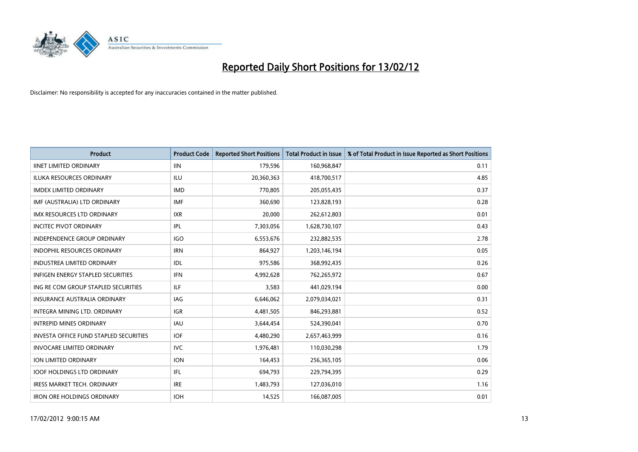

| <b>Product</b>                                | <b>Product Code</b> | <b>Reported Short Positions</b> | <b>Total Product in Issue</b> | % of Total Product in Issue Reported as Short Positions |
|-----------------------------------------------|---------------------|---------------------------------|-------------------------------|---------------------------------------------------------|
| <b>IINET LIMITED ORDINARY</b>                 | <b>IIN</b>          | 179,596                         | 160,968,847                   | 0.11                                                    |
| <b>ILUKA RESOURCES ORDINARY</b>               | ILU                 | 20,360,363                      | 418,700,517                   | 4.85                                                    |
| <b>IMDEX LIMITED ORDINARY</b>                 | <b>IMD</b>          | 770,805                         | 205,055,435                   | 0.37                                                    |
| IMF (AUSTRALIA) LTD ORDINARY                  | <b>IMF</b>          | 360,690                         | 123,828,193                   | 0.28                                                    |
| <b>IMX RESOURCES LTD ORDINARY</b>             | <b>IXR</b>          | 20,000                          | 262,612,803                   | 0.01                                                    |
| <b>INCITEC PIVOT ORDINARY</b>                 | IPL                 | 7,303,056                       | 1,628,730,107                 | 0.43                                                    |
| <b>INDEPENDENCE GROUP ORDINARY</b>            | <b>IGO</b>          | 6,553,676                       | 232,882,535                   | 2.78                                                    |
| INDOPHIL RESOURCES ORDINARY                   | <b>IRN</b>          | 864,927                         | 1,203,146,194                 | 0.05                                                    |
| <b>INDUSTREA LIMITED ORDINARY</b>             | IDL                 | 975,586                         | 368,992,435                   | 0.26                                                    |
| <b>INFIGEN ENERGY STAPLED SECURITIES</b>      | <b>IFN</b>          | 4,992,628                       | 762,265,972                   | 0.67                                                    |
| ING RE COM GROUP STAPLED SECURITIES           | ILF.                | 3,583                           | 441,029,194                   | 0.00                                                    |
| <b>INSURANCE AUSTRALIA ORDINARY</b>           | <b>IAG</b>          | 6,646,062                       | 2,079,034,021                 | 0.31                                                    |
| <b>INTEGRA MINING LTD, ORDINARY</b>           | <b>IGR</b>          | 4,481,505                       | 846,293,881                   | 0.52                                                    |
| <b>INTREPID MINES ORDINARY</b>                | <b>IAU</b>          | 3,644,454                       | 524,390,041                   | 0.70                                                    |
| <b>INVESTA OFFICE FUND STAPLED SECURITIES</b> | <b>IOF</b>          | 4,480,290                       | 2,657,463,999                 | 0.16                                                    |
| <b>INVOCARE LIMITED ORDINARY</b>              | <b>IVC</b>          | 1,976,481                       | 110,030,298                   | 1.79                                                    |
| ION LIMITED ORDINARY                          | <b>ION</b>          | 164,453                         | 256,365,105                   | 0.06                                                    |
| <b>IOOF HOLDINGS LTD ORDINARY</b>             | IFL                 | 694,793                         | 229,794,395                   | 0.29                                                    |
| <b>IRESS MARKET TECH. ORDINARY</b>            | <b>IRE</b>          | 1,483,793                       | 127,036,010                   | 1.16                                                    |
| <b>IRON ORE HOLDINGS ORDINARY</b>             | <b>IOH</b>          | 14,525                          | 166,087,005                   | 0.01                                                    |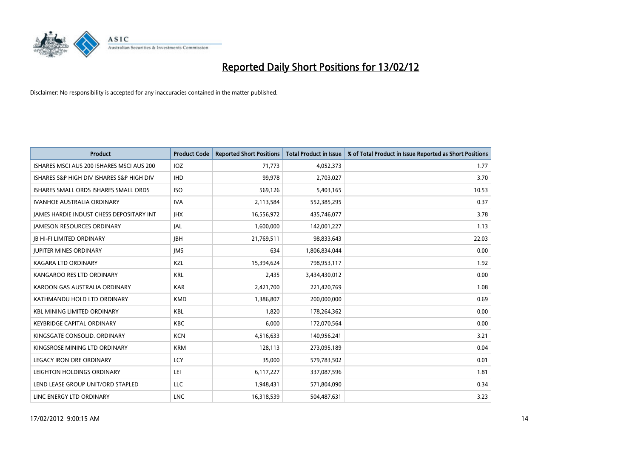

| <b>Product</b>                            | <b>Product Code</b> | <b>Reported Short Positions</b> | <b>Total Product in Issue</b> | % of Total Product in Issue Reported as Short Positions |
|-------------------------------------------|---------------------|---------------------------------|-------------------------------|---------------------------------------------------------|
| ISHARES MSCI AUS 200 ISHARES MSCI AUS 200 | <b>IOZ</b>          | 71,773                          | 4,052,373                     | 1.77                                                    |
| ISHARES S&P HIGH DIV ISHARES S&P HIGH DIV | <b>IHD</b>          | 99,978                          | 2,703,027                     | 3.70                                                    |
| ISHARES SMALL ORDS ISHARES SMALL ORDS     | <b>ISO</b>          | 569,126                         | 5,403,165                     | 10.53                                                   |
| <b>IVANHOE AUSTRALIA ORDINARY</b>         | <b>IVA</b>          | 2,113,584                       | 552,385,295                   | 0.37                                                    |
| JAMES HARDIE INDUST CHESS DEPOSITARY INT  | <b>IHX</b>          | 16,556,972                      | 435,746,077                   | 3.78                                                    |
| <b>JAMESON RESOURCES ORDINARY</b>         | <b>JAL</b>          | 1,600,000                       | 142,001,227                   | 1.13                                                    |
| <b>JB HI-FI LIMITED ORDINARY</b>          | <b>JBH</b>          | 21,769,511                      | 98,833,643                    | 22.03                                                   |
| <b>JUPITER MINES ORDINARY</b>             | <b>IMS</b>          | 634                             | 1,806,834,044                 | 0.00                                                    |
| <b>KAGARA LTD ORDINARY</b>                | KZL                 | 15,394,624                      | 798,953,117                   | 1.92                                                    |
| KANGAROO RES LTD ORDINARY                 | <b>KRL</b>          | 2,435                           | 3,434,430,012                 | 0.00                                                    |
| KAROON GAS AUSTRALIA ORDINARY             | <b>KAR</b>          | 2,421,700                       | 221,420,769                   | 1.08                                                    |
| KATHMANDU HOLD LTD ORDINARY               | <b>KMD</b>          | 1,386,807                       | 200,000,000                   | 0.69                                                    |
| <b>KBL MINING LIMITED ORDINARY</b>        | <b>KBL</b>          | 1,820                           | 178,264,362                   | 0.00                                                    |
| <b>KEYBRIDGE CAPITAL ORDINARY</b>         | <b>KBC</b>          | 6,000                           | 172,070,564                   | 0.00                                                    |
| KINGSGATE CONSOLID. ORDINARY              | <b>KCN</b>          | 4,516,633                       | 140,956,241                   | 3.21                                                    |
| KINGSROSE MINING LTD ORDINARY             | <b>KRM</b>          | 128,113                         | 273,095,189                   | 0.04                                                    |
| <b>LEGACY IRON ORE ORDINARY</b>           | <b>LCY</b>          | 35,000                          | 579,783,502                   | 0.01                                                    |
| LEIGHTON HOLDINGS ORDINARY                | LEI                 | 6,117,227                       | 337,087,596                   | 1.81                                                    |
| LEND LEASE GROUP UNIT/ORD STAPLED         | <b>LLC</b>          | 1,948,431                       | 571,804,090                   | 0.34                                                    |
| LINC ENERGY LTD ORDINARY                  | <b>LNC</b>          | 16,318,539                      | 504,487,631                   | 3.23                                                    |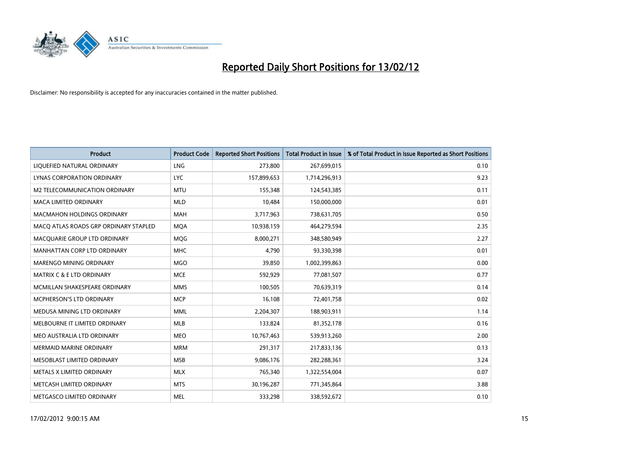

| <b>Product</b>                        | <b>Product Code</b> | <b>Reported Short Positions</b> | <b>Total Product in Issue</b> | % of Total Product in Issue Reported as Short Positions |
|---------------------------------------|---------------------|---------------------------------|-------------------------------|---------------------------------------------------------|
| LIQUEFIED NATURAL ORDINARY            | <b>LNG</b>          | 273,800                         | 267,699,015                   | 0.10                                                    |
| LYNAS CORPORATION ORDINARY            | <b>LYC</b>          | 157,899,653                     | 1,714,296,913                 | 9.23                                                    |
| M2 TELECOMMUNICATION ORDINARY         | <b>MTU</b>          | 155,348                         | 124,543,385                   | 0.11                                                    |
| MACA LIMITED ORDINARY                 | <b>MLD</b>          | 10,484                          | 150,000,000                   | 0.01                                                    |
| <b>MACMAHON HOLDINGS ORDINARY</b>     | MAH                 | 3,717,963                       | 738,631,705                   | 0.50                                                    |
| MACO ATLAS ROADS GRP ORDINARY STAPLED | <b>MQA</b>          | 10,938,159                      | 464,279,594                   | 2.35                                                    |
| MACQUARIE GROUP LTD ORDINARY          | <b>MOG</b>          | 8,000,271                       | 348,580,949                   | 2.27                                                    |
| MANHATTAN CORP LTD ORDINARY           | <b>MHC</b>          | 4,790                           | 93,330,398                    | 0.01                                                    |
| MARENGO MINING ORDINARY               | <b>MGO</b>          | 39,850                          | 1,002,399,863                 | 0.00                                                    |
| <b>MATRIX C &amp; E LTD ORDINARY</b>  | <b>MCE</b>          | 592,929                         | 77,081,507                    | 0.77                                                    |
| MCMILLAN SHAKESPEARE ORDINARY         | <b>MMS</b>          | 100,505                         | 70,639,319                    | 0.14                                                    |
| MCPHERSON'S LTD ORDINARY              | <b>MCP</b>          | 16,108                          | 72,401,758                    | 0.02                                                    |
| MEDUSA MINING LTD ORDINARY            | <b>MML</b>          | 2,204,307                       | 188,903,911                   | 1.14                                                    |
| MELBOURNE IT LIMITED ORDINARY         | <b>MLB</b>          | 133,824                         | 81,352,178                    | 0.16                                                    |
| MEO AUSTRALIA LTD ORDINARY            | <b>MEO</b>          | 10,767,463                      | 539,913,260                   | 2.00                                                    |
| MERMAID MARINE ORDINARY               | <b>MRM</b>          | 291,317                         | 217,833,136                   | 0.13                                                    |
| MESOBLAST LIMITED ORDINARY            | <b>MSB</b>          | 9,086,176                       | 282,288,361                   | 3.24                                                    |
| METALS X LIMITED ORDINARY             | <b>MLX</b>          | 765,340                         | 1,322,554,004                 | 0.07                                                    |
| METCASH LIMITED ORDINARY              | <b>MTS</b>          | 30,196,287                      | 771,345,864                   | 3.88                                                    |
| METGASCO LIMITED ORDINARY             | <b>MEL</b>          | 333,298                         | 338,592,672                   | 0.10                                                    |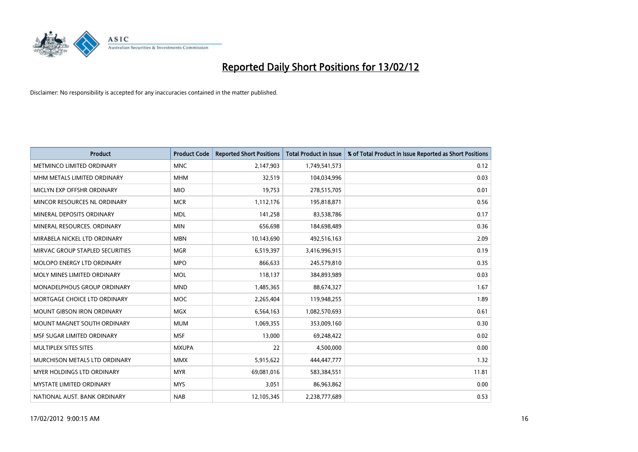

| <b>Product</b>                    | <b>Product Code</b> | <b>Reported Short Positions</b> | <b>Total Product in Issue</b> | % of Total Product in Issue Reported as Short Positions |
|-----------------------------------|---------------------|---------------------------------|-------------------------------|---------------------------------------------------------|
| METMINCO LIMITED ORDINARY         | <b>MNC</b>          | 2,147,903                       | 1,749,541,573                 | 0.12                                                    |
| MHM METALS LIMITED ORDINARY       | <b>MHM</b>          | 32,519                          | 104,034,996                   | 0.03                                                    |
| MICLYN EXP OFFSHR ORDINARY        | <b>MIO</b>          | 19,753                          | 278,515,705                   | 0.01                                                    |
| MINCOR RESOURCES NL ORDINARY      | <b>MCR</b>          | 1,112,176                       | 195,818,871                   | 0.56                                                    |
| MINERAL DEPOSITS ORDINARY         | <b>MDL</b>          | 141,258                         | 83,538,786                    | 0.17                                                    |
| MINERAL RESOURCES, ORDINARY       | <b>MIN</b>          | 656,698                         | 184,698,489                   | 0.36                                                    |
| MIRABELA NICKEL LTD ORDINARY      | <b>MBN</b>          | 10,143,690                      | 492,516,163                   | 2.09                                                    |
| MIRVAC GROUP STAPLED SECURITIES   | <b>MGR</b>          | 6,519,397                       | 3,416,996,915                 | 0.19                                                    |
| MOLOPO ENERGY LTD ORDINARY        | <b>MPO</b>          | 866,633                         | 245,579,810                   | 0.35                                                    |
| MOLY MINES LIMITED ORDINARY       | <b>MOL</b>          | 118,137                         | 384,893,989                   | 0.03                                                    |
| MONADELPHOUS GROUP ORDINARY       | <b>MND</b>          | 1,485,365                       | 88,674,327                    | 1.67                                                    |
| MORTGAGE CHOICE LTD ORDINARY      | <b>MOC</b>          | 2,265,404                       | 119,948,255                   | 1.89                                                    |
| <b>MOUNT GIBSON IRON ORDINARY</b> | <b>MGX</b>          | 6,564,163                       | 1,082,570,693                 | 0.61                                                    |
| MOUNT MAGNET SOUTH ORDINARY       | <b>MUM</b>          | 1,069,355                       | 353,009,160                   | 0.30                                                    |
| MSF SUGAR LIMITED ORDINARY        | <b>MSF</b>          | 13,000                          | 69,248,422                    | 0.02                                                    |
| MULTIPLEX SITES SITES             | <b>MXUPA</b>        | 22                              | 4,500,000                     | 0.00                                                    |
| MURCHISON METALS LTD ORDINARY     | <b>MMX</b>          | 5,915,622                       | 444,447,777                   | 1.32                                                    |
| MYER HOLDINGS LTD ORDINARY        | <b>MYR</b>          | 69,081,016                      | 583,384,551                   | 11.81                                                   |
| <b>MYSTATE LIMITED ORDINARY</b>   | <b>MYS</b>          | 3,051                           | 86,963,862                    | 0.00                                                    |
| NATIONAL AUST. BANK ORDINARY      | <b>NAB</b>          | 12,105,345                      | 2,238,777,689                 | 0.53                                                    |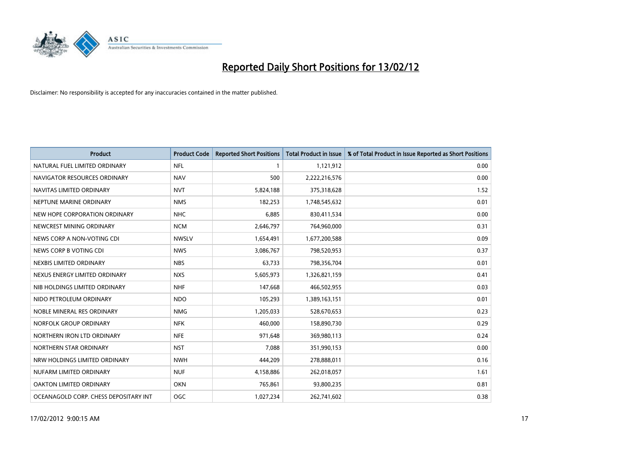

| <b>Product</b>                        | <b>Product Code</b> | <b>Reported Short Positions</b> | <b>Total Product in Issue</b> | % of Total Product in Issue Reported as Short Positions |
|---------------------------------------|---------------------|---------------------------------|-------------------------------|---------------------------------------------------------|
| NATURAL FUEL LIMITED ORDINARY         | <b>NFL</b>          |                                 | 1,121,912                     | 0.00                                                    |
| NAVIGATOR RESOURCES ORDINARY          | <b>NAV</b>          | 500                             | 2,222,216,576                 | 0.00                                                    |
| NAVITAS LIMITED ORDINARY              | <b>NVT</b>          | 5,824,188                       | 375,318,628                   | 1.52                                                    |
| NEPTUNE MARINE ORDINARY               | <b>NMS</b>          | 182,253                         | 1,748,545,632                 | 0.01                                                    |
| NEW HOPE CORPORATION ORDINARY         | <b>NHC</b>          | 6,885                           | 830,411,534                   | 0.00                                                    |
| NEWCREST MINING ORDINARY              | <b>NCM</b>          | 2,646,797                       | 764,960,000                   | 0.31                                                    |
| NEWS CORP A NON-VOTING CDI            | <b>NWSLV</b>        | 1,654,491                       | 1,677,200,588                 | 0.09                                                    |
| NEWS CORP B VOTING CDI                | <b>NWS</b>          | 3,086,767                       | 798,520,953                   | 0.37                                                    |
| NEXBIS LIMITED ORDINARY               | <b>NBS</b>          | 63,733                          | 798,356,704                   | 0.01                                                    |
| NEXUS ENERGY LIMITED ORDINARY         | <b>NXS</b>          | 5,605,973                       | 1,326,821,159                 | 0.41                                                    |
| NIB HOLDINGS LIMITED ORDINARY         | <b>NHF</b>          | 147,668                         | 466,502,955                   | 0.03                                                    |
| NIDO PETROLEUM ORDINARY               | <b>NDO</b>          | 105,293                         | 1,389,163,151                 | 0.01                                                    |
| NOBLE MINERAL RES ORDINARY            | <b>NMG</b>          | 1,205,033                       | 528,670,653                   | 0.23                                                    |
| NORFOLK GROUP ORDINARY                | <b>NFK</b>          | 460,000                         | 158,890,730                   | 0.29                                                    |
| NORTHERN IRON LTD ORDINARY            | <b>NFE</b>          | 971,648                         | 369,980,113                   | 0.24                                                    |
| NORTHERN STAR ORDINARY                | <b>NST</b>          | 7,088                           | 351,990,153                   | 0.00                                                    |
| NRW HOLDINGS LIMITED ORDINARY         | <b>NWH</b>          | 444,209                         | 278,888,011                   | 0.16                                                    |
| NUFARM LIMITED ORDINARY               | <b>NUF</b>          | 4,158,886                       | 262,018,057                   | 1.61                                                    |
| OAKTON LIMITED ORDINARY               | <b>OKN</b>          | 765,861                         | 93,800,235                    | 0.81                                                    |
| OCEANAGOLD CORP. CHESS DEPOSITARY INT | OGC                 | 1,027,234                       | 262,741,602                   | 0.38                                                    |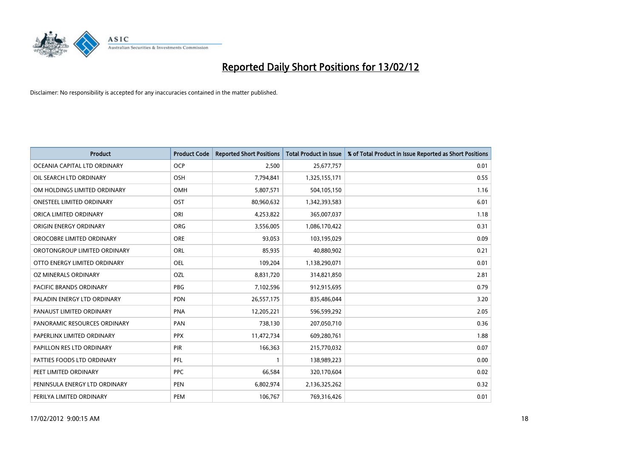

| <b>Product</b>                   | <b>Product Code</b> | <b>Reported Short Positions</b> | <b>Total Product in Issue</b> | % of Total Product in Issue Reported as Short Positions |
|----------------------------------|---------------------|---------------------------------|-------------------------------|---------------------------------------------------------|
| OCEANIA CAPITAL LTD ORDINARY     | <b>OCP</b>          | 2,500                           | 25,677,757                    | 0.01                                                    |
| OIL SEARCH LTD ORDINARY          | <b>OSH</b>          | 7,794,841                       | 1,325,155,171                 | 0.55                                                    |
| OM HOLDINGS LIMITED ORDINARY     | OMH                 | 5,807,571                       | 504,105,150                   | 1.16                                                    |
| <b>ONESTEEL LIMITED ORDINARY</b> | OST                 | 80,960,632                      | 1,342,393,583                 | 6.01                                                    |
| ORICA LIMITED ORDINARY           | ORI                 | 4,253,822                       | 365,007,037                   | 1.18                                                    |
| ORIGIN ENERGY ORDINARY           | <b>ORG</b>          | 3,556,005                       | 1,086,170,422                 | 0.31                                                    |
| OROCOBRE LIMITED ORDINARY        | <b>ORE</b>          | 93,053                          | 103,195,029                   | 0.09                                                    |
| OROTONGROUP LIMITED ORDINARY     | ORL                 | 85,935                          | 40,880,902                    | 0.21                                                    |
| OTTO ENERGY LIMITED ORDINARY     | <b>OEL</b>          | 109,204                         | 1,138,290,071                 | 0.01                                                    |
| <b>OZ MINERALS ORDINARY</b>      | <b>OZL</b>          | 8,831,720                       | 314,821,850                   | 2.81                                                    |
| PACIFIC BRANDS ORDINARY          | <b>PBG</b>          | 7,102,596                       | 912,915,695                   | 0.79                                                    |
| PALADIN ENERGY LTD ORDINARY      | <b>PDN</b>          | 26,557,175                      | 835,486,044                   | 3.20                                                    |
| PANAUST LIMITED ORDINARY         | <b>PNA</b>          | 12,205,221                      | 596,599,292                   | 2.05                                                    |
| PANORAMIC RESOURCES ORDINARY     | PAN                 | 738,130                         | 207,050,710                   | 0.36                                                    |
| PAPERLINX LIMITED ORDINARY       | <b>PPX</b>          | 11,472,734                      | 609,280,761                   | 1.88                                                    |
| PAPILLON RES LTD ORDINARY        | PIR                 | 166,363                         | 215,770,032                   | 0.07                                                    |
| PATTIES FOODS LTD ORDINARY       | PFL                 | $\mathbf{1}$                    | 138,989,223                   | 0.00                                                    |
| PEET LIMITED ORDINARY            | <b>PPC</b>          | 66,584                          | 320,170,604                   | 0.02                                                    |
| PENINSULA ENERGY LTD ORDINARY    | <b>PEN</b>          | 6,802,974                       | 2,136,325,262                 | 0.32                                                    |
| PERILYA LIMITED ORDINARY         | PEM                 | 106,767                         | 769,316,426                   | 0.01                                                    |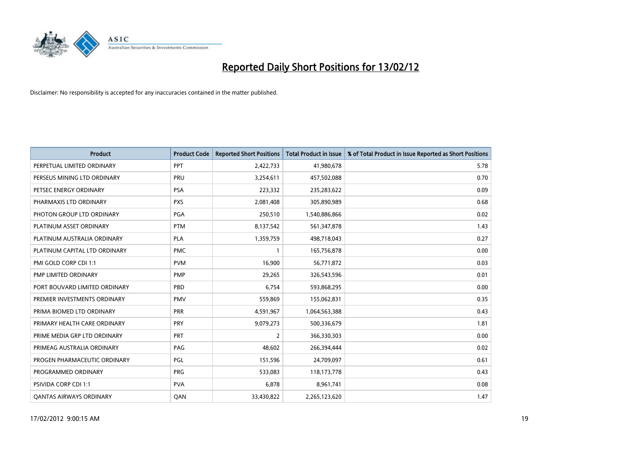

| <b>Product</b>                 | <b>Product Code</b> | <b>Reported Short Positions</b> | <b>Total Product in Issue</b> | % of Total Product in Issue Reported as Short Positions |
|--------------------------------|---------------------|---------------------------------|-------------------------------|---------------------------------------------------------|
| PERPETUAL LIMITED ORDINARY     | PPT                 | 2,422,733                       | 41,980,678                    | 5.78                                                    |
| PERSEUS MINING LTD ORDINARY    | PRU                 | 3,254,611                       | 457,502,088                   | 0.70                                                    |
| PETSEC ENERGY ORDINARY         | <b>PSA</b>          | 223,332                         | 235,283,622                   | 0.09                                                    |
| PHARMAXIS LTD ORDINARY         | <b>PXS</b>          | 2,081,408                       | 305,890,989                   | 0.68                                                    |
| PHOTON GROUP LTD ORDINARY      | <b>PGA</b>          | 250,510                         | 1,540,886,866                 | 0.02                                                    |
| PLATINUM ASSET ORDINARY        | <b>PTM</b>          | 8,137,542                       | 561,347,878                   | 1.43                                                    |
| PLATINUM AUSTRALIA ORDINARY    | <b>PLA</b>          | 1,359,759                       | 498,718,043                   | 0.27                                                    |
| PLATINUM CAPITAL LTD ORDINARY  | <b>PMC</b>          | $\mathbf{1}$                    | 165,756,878                   | 0.00                                                    |
| PMI GOLD CORP CDI 1:1          | <b>PVM</b>          | 16,900                          | 56,771,872                    | 0.03                                                    |
| PMP LIMITED ORDINARY           | <b>PMP</b>          | 29,265                          | 326,543,596                   | 0.01                                                    |
| PORT BOUVARD LIMITED ORDINARY  | PBD                 | 6,754                           | 593,868,295                   | 0.00                                                    |
| PREMIER INVESTMENTS ORDINARY   | <b>PMV</b>          | 559,869                         | 155,062,831                   | 0.35                                                    |
| PRIMA BIOMED LTD ORDINARY      | <b>PRR</b>          | 4,591,967                       | 1,064,563,388                 | 0.43                                                    |
| PRIMARY HEALTH CARE ORDINARY   | <b>PRY</b>          | 9,079,273                       | 500,336,679                   | 1.81                                                    |
| PRIME MEDIA GRP LTD ORDINARY   | <b>PRT</b>          | $\overline{2}$                  | 366,330,303                   | 0.00                                                    |
| PRIMEAG AUSTRALIA ORDINARY     | PAG                 | 48,602                          | 266,394,444                   | 0.02                                                    |
| PROGEN PHARMACEUTIC ORDINARY   | PGL                 | 151,596                         | 24,709,097                    | 0.61                                                    |
| PROGRAMMED ORDINARY            | <b>PRG</b>          | 533,083                         | 118,173,778                   | 0.43                                                    |
| <b>PSIVIDA CORP CDI 1:1</b>    | <b>PVA</b>          | 6,878                           | 8,961,741                     | 0.08                                                    |
| <b>QANTAS AIRWAYS ORDINARY</b> | QAN                 | 33,430,822                      | 2,265,123,620                 | 1.47                                                    |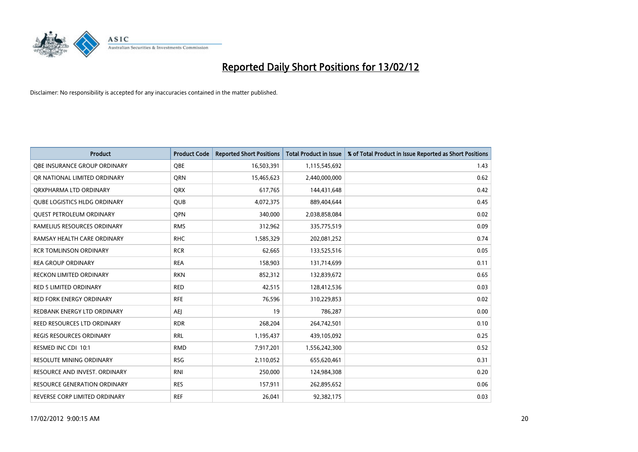

| <b>Product</b>                      | <b>Product Code</b> | <b>Reported Short Positions</b> | <b>Total Product in Issue</b> | % of Total Product in Issue Reported as Short Positions |
|-------------------------------------|---------------------|---------------------------------|-------------------------------|---------------------------------------------------------|
| OBE INSURANCE GROUP ORDINARY        | <b>OBE</b>          | 16,503,391                      | 1,115,545,692                 | 1.43                                                    |
| OR NATIONAL LIMITED ORDINARY        | QRN                 | 15,465,623                      | 2,440,000,000                 | 0.62                                                    |
| ORXPHARMA LTD ORDINARY              | <b>QRX</b>          | 617,765                         | 144,431,648                   | 0.42                                                    |
| <b>OUBE LOGISTICS HLDG ORDINARY</b> | <b>QUB</b>          | 4,072,375                       | 889,404,644                   | 0.45                                                    |
| <b>QUEST PETROLEUM ORDINARY</b>     | <b>OPN</b>          | 340,000                         | 2,038,858,084                 | 0.02                                                    |
| RAMELIUS RESOURCES ORDINARY         | <b>RMS</b>          | 312,962                         | 335,775,519                   | 0.09                                                    |
| RAMSAY HEALTH CARE ORDINARY         | <b>RHC</b>          | 1,585,329                       | 202,081,252                   | 0.74                                                    |
| <b>RCR TOMLINSON ORDINARY</b>       | <b>RCR</b>          | 62,665                          | 133,525,516                   | 0.05                                                    |
| <b>REA GROUP ORDINARY</b>           | <b>REA</b>          | 158,903                         | 131,714,699                   | 0.11                                                    |
| <b>RECKON LIMITED ORDINARY</b>      | <b>RKN</b>          | 852,312                         | 132,839,672                   | 0.65                                                    |
| RED 5 LIMITED ORDINARY              | <b>RED</b>          | 42,515                          | 128,412,536                   | 0.03                                                    |
| <b>RED FORK ENERGY ORDINARY</b>     | <b>RFE</b>          | 76,596                          | 310,229,853                   | 0.02                                                    |
| REDBANK ENERGY LTD ORDINARY         | AEJ                 | 19                              | 786,287                       | 0.00                                                    |
| <b>REED RESOURCES LTD ORDINARY</b>  | <b>RDR</b>          | 268,204                         | 264,742,501                   | 0.10                                                    |
| <b>REGIS RESOURCES ORDINARY</b>     | <b>RRL</b>          | 1,195,437                       | 439,105,092                   | 0.25                                                    |
| RESMED INC CDI 10:1                 | <b>RMD</b>          | 7,917,201                       | 1,556,242,300                 | 0.52                                                    |
| <b>RESOLUTE MINING ORDINARY</b>     | <b>RSG</b>          | 2,110,052                       | 655,620,461                   | 0.31                                                    |
| RESOURCE AND INVEST. ORDINARY       | <b>RNI</b>          | 250,000                         | 124,984,308                   | 0.20                                                    |
| <b>RESOURCE GENERATION ORDINARY</b> | <b>RES</b>          | 157,911                         | 262,895,652                   | 0.06                                                    |
| REVERSE CORP LIMITED ORDINARY       | <b>REF</b>          | 26,041                          | 92,382,175                    | 0.03                                                    |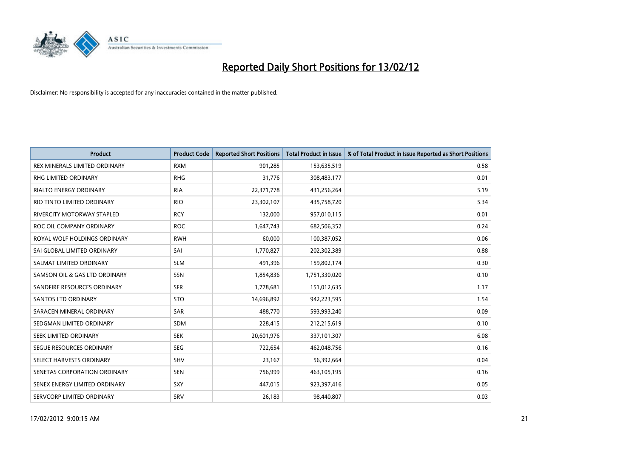

| <b>Product</b>                    | <b>Product Code</b> | <b>Reported Short Positions</b> | <b>Total Product in Issue</b> | % of Total Product in Issue Reported as Short Positions |
|-----------------------------------|---------------------|---------------------------------|-------------------------------|---------------------------------------------------------|
| REX MINERALS LIMITED ORDINARY     | <b>RXM</b>          | 901,285                         | 153,635,519                   | 0.58                                                    |
| RHG LIMITED ORDINARY              | <b>RHG</b>          | 31,776                          | 308,483,177                   | 0.01                                                    |
| <b>RIALTO ENERGY ORDINARY</b>     | <b>RIA</b>          | 22,371,778                      | 431,256,264                   | 5.19                                                    |
| RIO TINTO LIMITED ORDINARY        | <b>RIO</b>          | 23,302,107                      | 435,758,720                   | 5.34                                                    |
| <b>RIVERCITY MOTORWAY STAPLED</b> | <b>RCY</b>          | 132,000                         | 957,010,115                   | 0.01                                                    |
| ROC OIL COMPANY ORDINARY          | <b>ROC</b>          | 1,647,743                       | 682,506,352                   | 0.24                                                    |
| ROYAL WOLF HOLDINGS ORDINARY      | <b>RWH</b>          | 60,000                          | 100,387,052                   | 0.06                                                    |
| SAI GLOBAL LIMITED ORDINARY       | SAI                 | 1,770,827                       | 202,302,389                   | 0.88                                                    |
| SALMAT LIMITED ORDINARY           | <b>SLM</b>          | 491,396                         | 159,802,174                   | 0.30                                                    |
| SAMSON OIL & GAS LTD ORDINARY     | SSN                 | 1,854,836                       | 1,751,330,020                 | 0.10                                                    |
| SANDFIRE RESOURCES ORDINARY       | <b>SFR</b>          | 1,778,681                       | 151,012,635                   | 1.17                                                    |
| <b>SANTOS LTD ORDINARY</b>        | <b>STO</b>          | 14,696,892                      | 942,223,595                   | 1.54                                                    |
| SARACEN MINERAL ORDINARY          | SAR                 | 488,770                         | 593,993,240                   | 0.09                                                    |
| SEDGMAN LIMITED ORDINARY          | SDM                 | 228,415                         | 212,215,619                   | 0.10                                                    |
| SEEK LIMITED ORDINARY             | <b>SEK</b>          | 20,601,976                      | 337,101,307                   | 6.08                                                    |
| SEGUE RESOURCES ORDINARY          | <b>SEG</b>          | 722,654                         | 462,048,756                   | 0.16                                                    |
| SELECT HARVESTS ORDINARY          | SHV                 | 23,167                          | 56,392,664                    | 0.04                                                    |
| SENETAS CORPORATION ORDINARY      | <b>SEN</b>          | 756,999                         | 463,105,195                   | 0.16                                                    |
| SENEX ENERGY LIMITED ORDINARY     | <b>SXY</b>          | 447,015                         | 923,397,416                   | 0.05                                                    |
| SERVCORP LIMITED ORDINARY         | SRV                 | 26,183                          | 98,440,807                    | 0.03                                                    |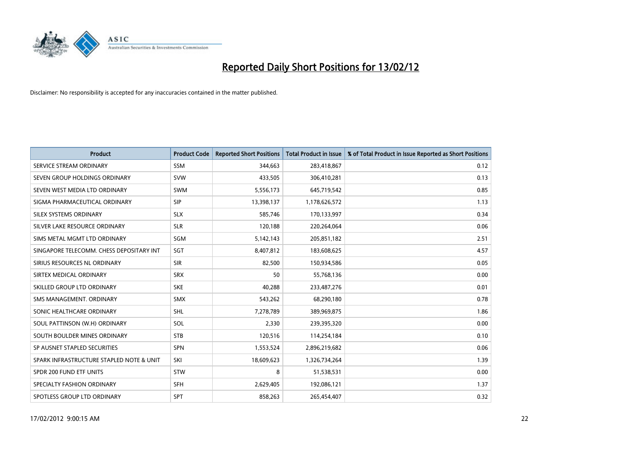

| <b>Product</b>                           | <b>Product Code</b> | <b>Reported Short Positions</b> | <b>Total Product in Issue</b> | % of Total Product in Issue Reported as Short Positions |
|------------------------------------------|---------------------|---------------------------------|-------------------------------|---------------------------------------------------------|
| SERVICE STREAM ORDINARY                  | <b>SSM</b>          | 344.663                         | 283,418,867                   | 0.12                                                    |
| SEVEN GROUP HOLDINGS ORDINARY            | <b>SVW</b>          | 433,505                         | 306,410,281                   | 0.13                                                    |
| SEVEN WEST MEDIA LTD ORDINARY            | <b>SWM</b>          | 5,556,173                       | 645,719,542                   | 0.85                                                    |
| SIGMA PHARMACEUTICAL ORDINARY            | <b>SIP</b>          | 13,398,137                      | 1,178,626,572                 | 1.13                                                    |
| SILEX SYSTEMS ORDINARY                   | <b>SLX</b>          | 585,746                         | 170,133,997                   | 0.34                                                    |
| SILVER LAKE RESOURCE ORDINARY            | <b>SLR</b>          | 120,188                         | 220,264,064                   | 0.06                                                    |
| SIMS METAL MGMT LTD ORDINARY             | SGM                 | 5,142,143                       | 205,851,182                   | 2.51                                                    |
| SINGAPORE TELECOMM. CHESS DEPOSITARY INT | SGT                 | 8,407,812                       | 183,608,625                   | 4.57                                                    |
| SIRIUS RESOURCES NL ORDINARY             | <b>SIR</b>          | 82,500                          | 150,934,586                   | 0.05                                                    |
| SIRTEX MEDICAL ORDINARY                  | <b>SRX</b>          | 50                              | 55,768,136                    | 0.00                                                    |
| SKILLED GROUP LTD ORDINARY               | <b>SKE</b>          | 40,288                          | 233,487,276                   | 0.01                                                    |
| SMS MANAGEMENT, ORDINARY                 | <b>SMX</b>          | 543,262                         | 68,290,180                    | 0.78                                                    |
| SONIC HEALTHCARE ORDINARY                | <b>SHL</b>          | 7,278,789                       | 389,969,875                   | 1.86                                                    |
| SOUL PATTINSON (W.H) ORDINARY            | SOL                 | 2,330                           | 239,395,320                   | 0.00                                                    |
| SOUTH BOULDER MINES ORDINARY             | <b>STB</b>          | 120,516                         | 114,254,184                   | 0.10                                                    |
| SP AUSNET STAPLED SECURITIES             | SPN                 | 1,553,524                       | 2,896,219,682                 | 0.06                                                    |
| SPARK INFRASTRUCTURE STAPLED NOTE & UNIT | SKI                 | 18,609,623                      | 1,326,734,264                 | 1.39                                                    |
| SPDR 200 FUND ETF UNITS                  | <b>STW</b>          | 8                               | 51,538,531                    | 0.00                                                    |
| SPECIALTY FASHION ORDINARY               | <b>SFH</b>          | 2,629,405                       | 192,086,121                   | 1.37                                                    |
| SPOTLESS GROUP LTD ORDINARY              | <b>SPT</b>          | 858,263                         | 265,454,407                   | 0.32                                                    |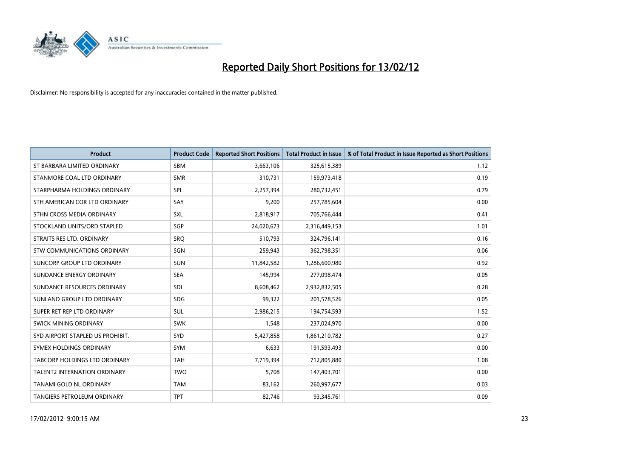

| <b>Product</b>                       | <b>Product Code</b> | <b>Reported Short Positions</b> | <b>Total Product in Issue</b> | % of Total Product in Issue Reported as Short Positions |
|--------------------------------------|---------------------|---------------------------------|-------------------------------|---------------------------------------------------------|
| ST BARBARA LIMITED ORDINARY          | <b>SBM</b>          | 3,663,106                       | 325,615,389                   | 1.12                                                    |
| STANMORE COAL LTD ORDINARY           | <b>SMR</b>          | 310,731                         | 159,973,418                   | 0.19                                                    |
| STARPHARMA HOLDINGS ORDINARY         | <b>SPL</b>          | 2,257,394                       | 280,732,451                   | 0.79                                                    |
| STH AMERICAN COR LTD ORDINARY        | SAY                 | 9,200                           | 257,785,604                   | 0.00                                                    |
| STHN CROSS MEDIA ORDINARY            | SXL                 | 2,818,917                       | 705,766,444                   | 0.41                                                    |
| STOCKLAND UNITS/ORD STAPLED          | SGP                 | 24,020,673                      | 2,316,449,153                 | 1.01                                                    |
| STRAITS RES LTD. ORDINARY            | SRQ                 | 510,793                         | 324,796,141                   | 0.16                                                    |
| STW COMMUNICATIONS ORDINARY          | <b>SGN</b>          | 259,943                         | 362,798,351                   | 0.06                                                    |
| SUNCORP GROUP LTD ORDINARY           | <b>SUN</b>          | 11,842,582                      | 1,286,600,980                 | 0.92                                                    |
| SUNDANCE ENERGY ORDINARY             | <b>SEA</b>          | 145,994                         | 277,098,474                   | 0.05                                                    |
| SUNDANCE RESOURCES ORDINARY          | <b>SDL</b>          | 8,608,462                       | 2,932,832,505                 | 0.28                                                    |
| SUNLAND GROUP LTD ORDINARY           | <b>SDG</b>          | 99,322                          | 201,578,526                   | 0.05                                                    |
| SUPER RET REP LTD ORDINARY           | SUL                 | 2,986,215                       | 194,754,593                   | 1.52                                                    |
| SWICK MINING ORDINARY                | <b>SWK</b>          | 1,548                           | 237,024,970                   | 0.00                                                    |
| SYD AIRPORT STAPLED US PROHIBIT.     | SYD                 | 5,427,858                       | 1,861,210,782                 | 0.27                                                    |
| SYMEX HOLDINGS ORDINARY              | SYM                 | 6,633                           | 191,593,493                   | 0.00                                                    |
| <b>TABCORP HOLDINGS LTD ORDINARY</b> | <b>TAH</b>          | 7,719,394                       | 712,805,880                   | 1.08                                                    |
| <b>TALENT2 INTERNATION ORDINARY</b>  | <b>TWO</b>          | 5.708                           | 147,403,701                   | 0.00                                                    |
| TANAMI GOLD NL ORDINARY              | <b>TAM</b>          | 83,162                          | 260,997,677                   | 0.03                                                    |
| <b>TANGIERS PETROLEUM ORDINARY</b>   | <b>TPT</b>          | 82,746                          | 93,345,761                    | 0.09                                                    |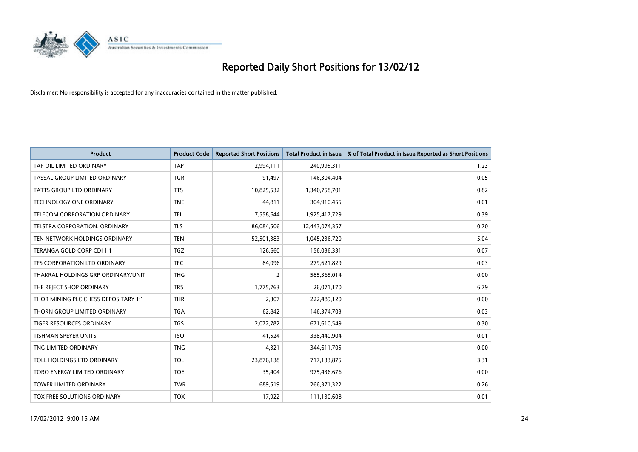

| <b>Product</b>                       | <b>Product Code</b> | <b>Reported Short Positions</b> | <b>Total Product in Issue</b> | % of Total Product in Issue Reported as Short Positions |
|--------------------------------------|---------------------|---------------------------------|-------------------------------|---------------------------------------------------------|
| TAP OIL LIMITED ORDINARY             | <b>TAP</b>          | 2,994,111                       | 240,995,311                   | 1.23                                                    |
| TASSAL GROUP LIMITED ORDINARY        | <b>TGR</b>          | 91,497                          | 146,304,404                   | 0.05                                                    |
| TATTS GROUP LTD ORDINARY             | <b>TTS</b>          | 10,825,532                      | 1,340,758,701                 | 0.82                                                    |
| <b>TECHNOLOGY ONE ORDINARY</b>       | <b>TNE</b>          | 44,811                          | 304,910,455                   | 0.01                                                    |
| TELECOM CORPORATION ORDINARY         | <b>TEL</b>          | 7,558,644                       | 1,925,417,729                 | 0.39                                                    |
| TELSTRA CORPORATION, ORDINARY        | <b>TLS</b>          | 86,084,506                      | 12,443,074,357                | 0.70                                                    |
| TEN NETWORK HOLDINGS ORDINARY        | <b>TEN</b>          | 52,501,383                      | 1,045,236,720                 | 5.04                                                    |
| TERANGA GOLD CORP CDI 1:1            | TGZ                 | 126,660                         | 156,036,331                   | 0.07                                                    |
| TFS CORPORATION LTD ORDINARY         | <b>TFC</b>          | 84,096                          | 279,621,829                   | 0.03                                                    |
| THAKRAL HOLDINGS GRP ORDINARY/UNIT   | <b>THG</b>          | 2                               | 585,365,014                   | 0.00                                                    |
| THE REJECT SHOP ORDINARY             | <b>TRS</b>          | 1,775,763                       | 26,071,170                    | 6.79                                                    |
| THOR MINING PLC CHESS DEPOSITARY 1:1 | <b>THR</b>          | 2,307                           | 222,489,120                   | 0.00                                                    |
| THORN GROUP LIMITED ORDINARY         | <b>TGA</b>          | 62,842                          | 146,374,703                   | 0.03                                                    |
| <b>TIGER RESOURCES ORDINARY</b>      | <b>TGS</b>          | 2,072,782                       | 671,610,549                   | 0.30                                                    |
| <b>TISHMAN SPEYER UNITS</b>          | <b>TSO</b>          | 41,524                          | 338,440,904                   | 0.01                                                    |
| TNG LIMITED ORDINARY                 | <b>TNG</b>          | 4,321                           | 344,611,705                   | 0.00                                                    |
| TOLL HOLDINGS LTD ORDINARY           | <b>TOL</b>          | 23,876,138                      | 717,133,875                   | 3.31                                                    |
| TORO ENERGY LIMITED ORDINARY         | <b>TOE</b>          | 35,404                          | 975,436,676                   | 0.00                                                    |
| <b>TOWER LIMITED ORDINARY</b>        | <b>TWR</b>          | 689,519                         | 266,371,322                   | 0.26                                                    |
| TOX FREE SOLUTIONS ORDINARY          | <b>TOX</b>          | 17,922                          | 111,130,608                   | 0.01                                                    |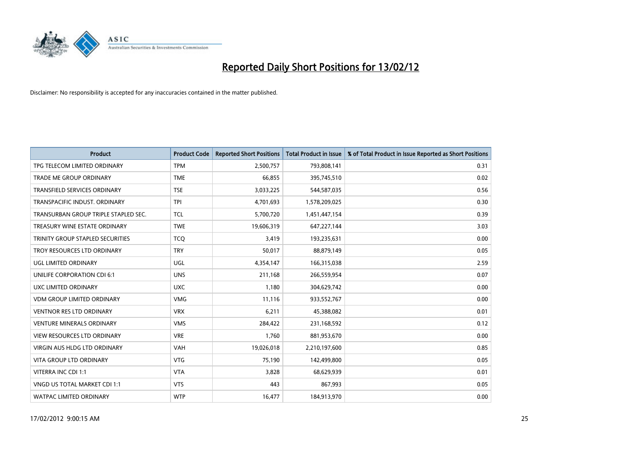

| <b>Product</b>                          | <b>Product Code</b> | <b>Reported Short Positions</b> | <b>Total Product in Issue</b> | % of Total Product in Issue Reported as Short Positions |
|-----------------------------------------|---------------------|---------------------------------|-------------------------------|---------------------------------------------------------|
| TPG TELECOM LIMITED ORDINARY            | <b>TPM</b>          | 2,500,757                       | 793,808,141                   | 0.31                                                    |
| TRADE ME GROUP ORDINARY                 | <b>TME</b>          | 66,855                          | 395,745,510                   | 0.02                                                    |
| TRANSFIELD SERVICES ORDINARY            | <b>TSE</b>          | 3,033,225                       | 544,587,035                   | 0.56                                                    |
| TRANSPACIFIC INDUST. ORDINARY           | <b>TPI</b>          | 4,701,693                       | 1,578,209,025                 | 0.30                                                    |
| TRANSURBAN GROUP TRIPLE STAPLED SEC.    | <b>TCL</b>          | 5,700,720                       | 1,451,447,154                 | 0.39                                                    |
| TREASURY WINE ESTATE ORDINARY           | <b>TWE</b>          | 19,606,319                      | 647,227,144                   | 3.03                                                    |
| <b>TRINITY GROUP STAPLED SECURITIES</b> | <b>TCQ</b>          | 3,419                           | 193,235,631                   | 0.00                                                    |
| TROY RESOURCES LTD ORDINARY             | <b>TRY</b>          | 50,017                          | 88,879,149                    | 0.05                                                    |
| <b>UGL LIMITED ORDINARY</b>             | UGL                 | 4,354,147                       | 166,315,038                   | 2.59                                                    |
| UNILIFE CORPORATION CDI 6:1             | <b>UNS</b>          | 211,168                         | 266,559,954                   | 0.07                                                    |
| UXC LIMITED ORDINARY                    | <b>UXC</b>          | 1,180                           | 304,629,742                   | 0.00                                                    |
| <b>VDM GROUP LIMITED ORDINARY</b>       | <b>VMG</b>          | 11,116                          | 933,552,767                   | 0.00                                                    |
| <b>VENTNOR RES LTD ORDINARY</b>         | <b>VRX</b>          | 6,211                           | 45,388,082                    | 0.01                                                    |
| <b>VENTURE MINERALS ORDINARY</b>        | <b>VMS</b>          | 284,422                         | 231,168,592                   | 0.12                                                    |
| <b>VIEW RESOURCES LTD ORDINARY</b>      | <b>VRE</b>          | 1,760                           | 881,953,670                   | 0.00                                                    |
| <b>VIRGIN AUS HLDG LTD ORDINARY</b>     | <b>VAH</b>          | 19,026,018                      | 2,210,197,600                 | 0.85                                                    |
| <b>VITA GROUP LTD ORDINARY</b>          | <b>VTG</b>          | 75,190                          | 142,499,800                   | 0.05                                                    |
| VITERRA INC CDI 1:1                     | <b>VTA</b>          | 3,828                           | 68,629,939                    | 0.01                                                    |
| VNGD US TOTAL MARKET CDI 1:1            | <b>VTS</b>          | 443                             | 867,993                       | 0.05                                                    |
| <b>WATPAC LIMITED ORDINARY</b>          | <b>WTP</b>          | 16,477                          | 184,913,970                   | 0.00                                                    |